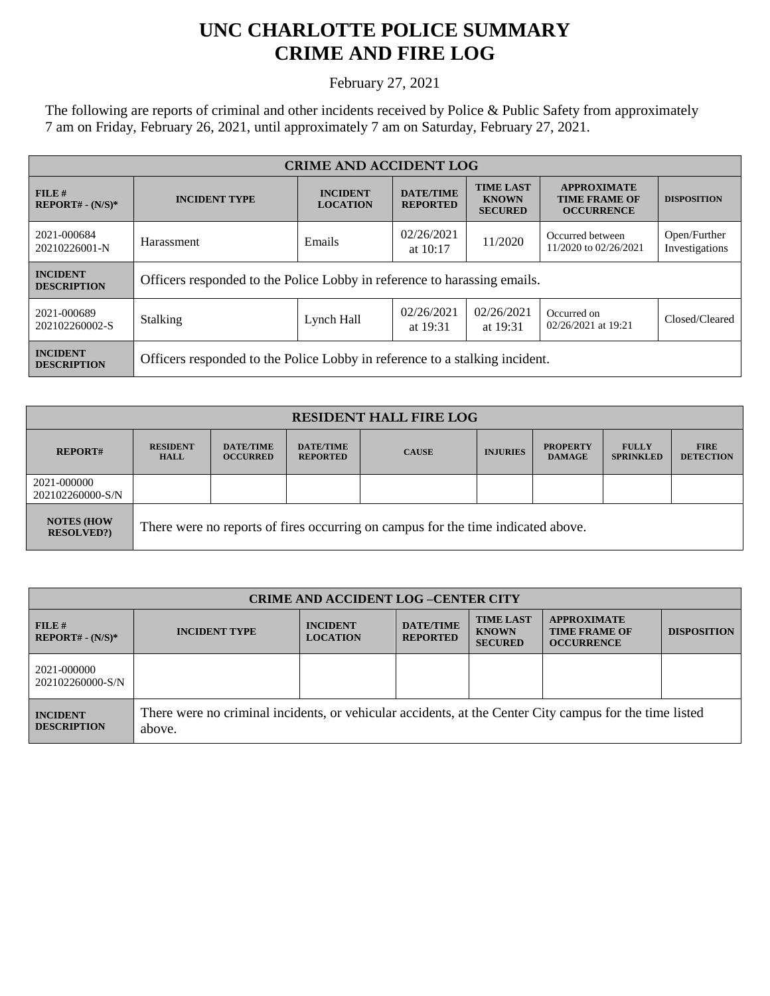## **UNC CHARLOTTE POLICE SUMMARY CRIME AND FIRE LOG**

February 27, 2021

The following are reports of criminal and other incidents received by Police & Public Safety from approximately 7 am on Friday, February 26, 2021, until approximately 7 am on Saturday, February 27, 2021.

| <b>CRIME AND ACCIDENT LOG</b>         |                                                                             |                                    |                                     |                                                    |                                                                 |                                |  |
|---------------------------------------|-----------------------------------------------------------------------------|------------------------------------|-------------------------------------|----------------------------------------------------|-----------------------------------------------------------------|--------------------------------|--|
| $FILE$ #<br>$REPORT# - (N/S)*$        | <b>INCIDENT TYPE</b>                                                        | <b>INCIDENT</b><br><b>LOCATION</b> | <b>DATE/TIME</b><br><b>REPORTED</b> | <b>TIME LAST</b><br><b>KNOWN</b><br><b>SECURED</b> | <b>APPROXIMATE</b><br><b>TIME FRAME OF</b><br><b>OCCURRENCE</b> | <b>DISPOSITION</b>             |  |
| 2021-000684<br>20210226001-N          | Harassment                                                                  | Emails                             | 02/26/2021<br>at $10:17$            | 11/2020                                            | Occurred between<br>11/2020 to 02/26/2021                       | Open/Further<br>Investigations |  |
| <b>INCIDENT</b><br><b>DESCRIPTION</b> | Officers responded to the Police Lobby in reference to harassing emails.    |                                    |                                     |                                                    |                                                                 |                                |  |
| 2021-000689<br>202102260002-S         | <b>Stalking</b>                                                             | Lynch Hall                         | 02/26/2021<br>at 19:31              | 02/26/2021<br>at 19:31                             | Occurred on<br>02/26/2021 at 19:21                              | Closed/Cleared                 |  |
| <b>INCIDENT</b><br><b>DESCRIPTION</b> | Officers responded to the Police Lobby in reference to a stalking incident. |                                    |                                     |                                                    |                                                                 |                                |  |

| <b>RESIDENT HALL FIRE LOG</b>           |                                                                                  |                                     |                                     |              |                 |                                  |                                  |                                 |
|-----------------------------------------|----------------------------------------------------------------------------------|-------------------------------------|-------------------------------------|--------------|-----------------|----------------------------------|----------------------------------|---------------------------------|
| <b>REPORT#</b>                          | <b>RESIDENT</b><br><b>HALL</b>                                                   | <b>DATE/TIME</b><br><b>OCCURRED</b> | <b>DATE/TIME</b><br><b>REPORTED</b> | <b>CAUSE</b> | <b>INJURIES</b> | <b>PROPERTY</b><br><b>DAMAGE</b> | <b>FULLY</b><br><b>SPRINKLED</b> | <b>FIRE</b><br><b>DETECTION</b> |
| 2021-000000<br>202102260000-S/N         |                                                                                  |                                     |                                     |              |                 |                                  |                                  |                                 |
| <b>NOTES (HOW)</b><br><b>RESOLVED?)</b> | There were no reports of fires occurring on campus for the time indicated above. |                                     |                                     |              |                 |                                  |                                  |                                 |

| <b>CRIME AND ACCIDENT LOG-CENTER CITY</b> |                                                                                                                   |                                    |                                     |                                                    |                                                                 |                    |
|-------------------------------------------|-------------------------------------------------------------------------------------------------------------------|------------------------------------|-------------------------------------|----------------------------------------------------|-----------------------------------------------------------------|--------------------|
| FILE#<br>$REPORT# - (N/S)*$               | <b>INCIDENT TYPE</b>                                                                                              | <b>INCIDENT</b><br><b>LOCATION</b> | <b>DATE/TIME</b><br><b>REPORTED</b> | <b>TIME LAST</b><br><b>KNOWN</b><br><b>SECURED</b> | <b>APPROXIMATE</b><br><b>TIME FRAME OF</b><br><b>OCCURRENCE</b> | <b>DISPOSITION</b> |
| 2021-000000<br>202102260000-S/N           |                                                                                                                   |                                    |                                     |                                                    |                                                                 |                    |
| <b>INCIDENT</b><br><b>DESCRIPTION</b>     | There were no criminal incidents, or vehicular accidents, at the Center City campus for the time listed<br>above. |                                    |                                     |                                                    |                                                                 |                    |